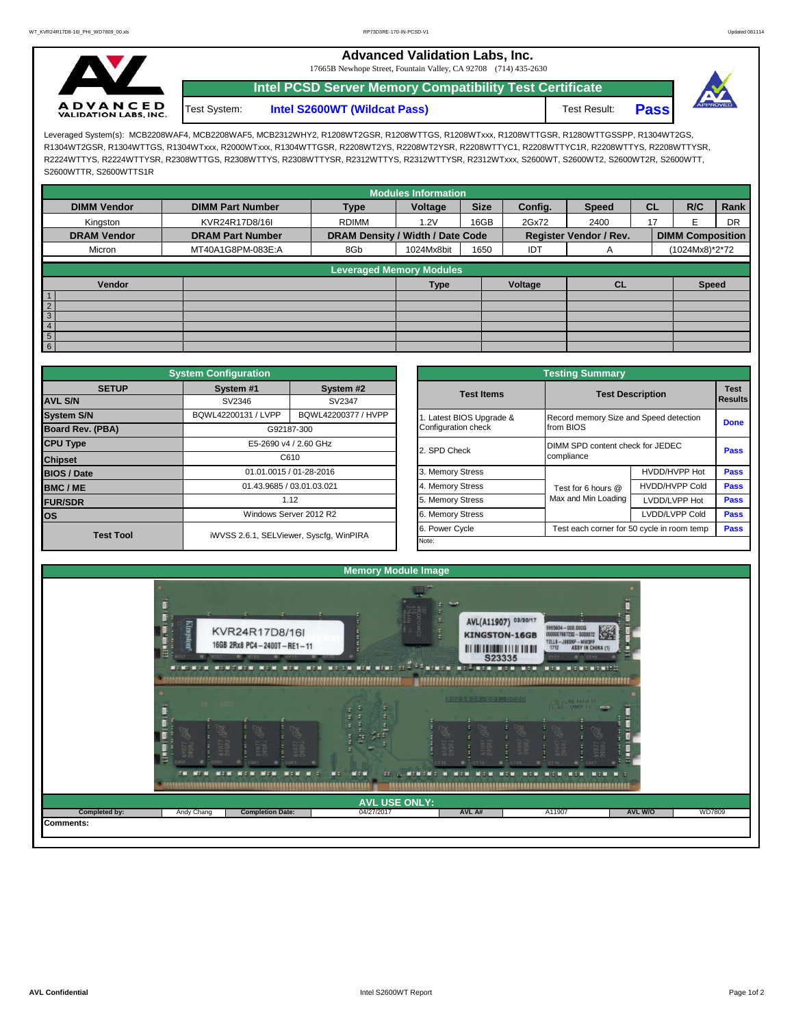**Advanced Validation Labs, Inc.** 

17665B Newhope Street, Fountain Valley, CA 92708 (714) 435-2630



**Intel PCSD Server Memory Compatibility Test Certificate** Test System: **Intel S2600WT (Wildcat Pass)** Test Result: **Pass** 



Leveraged System(s): MCB2208WAF4, MCB2208WAF5, MCB2312WHY2, R1208WT2GSR, R1208WTTGS, R1208WTxxx, R1208WTTGSR, R1280WTTGSSPP, R1304WT2GS, R1304WT2GSR, R1304WTTGS, R1304WTxxx, R2000WTxxx, R1304WTTGSR, R2208WT2YS, R2208WT2YSR, R2208WTTYC1, R2208WTTYC1R, R2208WTTYS, R2208WTTYSR, R2224WTTYS, R2224WTTYSR, R2308WTTGS, R2308WTTYS, R2308WTTYSR, R2312WTTYS, R2312WTTYSR, R2312WTxxx, S2600WT, S2600WT2, S2600WT2R, S2600WTT, S2600WTTR, S2600WTTS1R

|                    |                                 |                                  | <b>Modules Information</b> |             |           |                               |           |                         |      |  |  |  |  |
|--------------------|---------------------------------|----------------------------------|----------------------------|-------------|-----------|-------------------------------|-----------|-------------------------|------|--|--|--|--|
| <b>DIMM Vendor</b> | <b>DIMM Part Number</b>         | <b>Type</b>                      | Voltage                    | <b>Size</b> | Config.   | <b>Speed</b>                  | <b>CL</b> | R/C                     | Rank |  |  |  |  |
| Kingston           | KVR24R17D8/16I                  | <b>RDIMM</b><br>1.2V             |                            | 16GB        | 2Gx72     | 2400                          |           |                         | DR   |  |  |  |  |
| <b>DRAM Vendor</b> | <b>DRAM Part Number</b>         | DRAM Density / Width / Date Code |                            |             |           | <b>Register Vendor / Rev.</b> |           | <b>DIMM Composition</b> |      |  |  |  |  |
| Micron             | MT40A1G8PM-083E:A               | 8Gb                              | 1024Mx8bit                 | 1650        | IDT       | A                             |           | (1024Mx8)*2*72          |      |  |  |  |  |
|                    | <b>Leveraged Memory Modules</b> |                                  |                            |             |           |                               |           |                         |      |  |  |  |  |
|                    |                                 |                                  |                            |             |           |                               |           |                         |      |  |  |  |  |
| Vendor             |                                 |                                  | Voltage<br><b>Type</b>     |             | <b>CL</b> | <b>Speed</b>                  |           |                         |      |  |  |  |  |
| $\overline{1}$     |                                 |                                  |                            |             |           |                               |           |                         |      |  |  |  |  |
| $\overline{2}$     |                                 |                                  |                            |             |           |                               |           |                         |      |  |  |  |  |
| $\overline{3}$     |                                 |                                  |                            |             |           |                               |           |                         |      |  |  |  |  |
| $\overline{4}$     |                                 |                                  |                            |             |           |                               |           |                         |      |  |  |  |  |
| $5\overline{)}$    |                                 |                                  |                            |             |           |                               |           |                         |      |  |  |  |  |
| $6\overline{6}$    |                                 |                                  |                            |             |           |                               |           |                         |      |  |  |  |  |

|                                      | <b>System Configuration</b> |                                         |                     | <b>Testing Summary</b>   |                                            |                                        |             |  |  |  |  |  |
|--------------------------------------|-----------------------------|-----------------------------------------|---------------------|--------------------------|--------------------------------------------|----------------------------------------|-------------|--|--|--|--|--|
| <b>SETUP</b>                         | System #1                   | System #2                               |                     | <b>Test Items</b>        |                                            | <b>Test Description</b>                |             |  |  |  |  |  |
| <b>AVL S/N</b>                       | SV2346                      | SV2347                                  |                     |                          |                                            |                                        | Results     |  |  |  |  |  |
| <b>System S/N</b>                    | BQWL42200131 / LVPP         | BQWL42200377 / HVPP                     |                     | 1. Latest BIOS Upgrade & |                                            | Record memory Size and Speed detection |             |  |  |  |  |  |
| Board Rev. (PBA)<br>G92187-300       |                             |                                         | Configuration check | from BIOS                |                                            |                                        |             |  |  |  |  |  |
| <b>CPU Type</b>                      |                             | E5-2690 v4 / 2.60 GHz                   | 2. SPD Check        |                          | DIMM SPD content check for JEDEC           |                                        | <b>Pass</b> |  |  |  |  |  |
| <b>Chipset</b>                       |                             | C610                                    |                     |                          | compliance                                 |                                        |             |  |  |  |  |  |
| <b>BIOS / Date</b>                   |                             | 01.01.0015 / 01-28-2016                 | 3. Memory Stress    |                          |                                            | HVDD/HVPP Hot                          | <b>Pass</b> |  |  |  |  |  |
| <b>BMC/ME</b>                        |                             | 01.43.9685 / 03.01.03.021               |                     | 4. Memory Stress         | Test for 6 hours @                         | <b>HVDD/HVPP Cold</b>                  | <b>Pass</b> |  |  |  |  |  |
| <b>FUR/SDR</b>                       |                             | 1.12                                    | 5. Memory Stress    |                          | Max and Min Loading                        | LVDD/LVPP Hot                          | <b>Pass</b> |  |  |  |  |  |
| Windows Server 2012 R2<br><b>los</b> |                             |                                         |                     | 6. Memory Stress         |                                            | LVDD/LVPP Cold                         | <b>Pass</b> |  |  |  |  |  |
| <b>Test Tool</b>                     |                             | iWVSS 2.6.1, SELViewer, Syscfq, WinPIRA |                     | 6. Power Cycle           | Test each corner for 50 cycle in room temp |                                        |             |  |  |  |  |  |
|                                      |                             |                                         |                     | Note:                    |                                            |                                        |             |  |  |  |  |  |

|              | <b>System Configuration</b> |                                         |                                              | <b>Testing Summary</b>                     |                                                     |             |  |  |  |
|--------------|-----------------------------|-----------------------------------------|----------------------------------------------|--------------------------------------------|-----------------------------------------------------|-------------|--|--|--|
| <b>SETUP</b> | System #1                   | System #2                               | <b>Test Description</b><br><b>Test Items</b> |                                            |                                                     |             |  |  |  |
|              | SV2346                      | SV2347                                  |                                              |                                            |                                                     |             |  |  |  |
|              | BQWL42200131 / LVPP         | BQWL42200377 / HVPP                     | Latest BIOS Upgrade &                        |                                            | Record memory Size and Speed detection<br>from BIOS |             |  |  |  |
| PBA)         |                             | G92187-300                              |                                              |                                            |                                                     |             |  |  |  |
|              |                             | E5-2690 v4 / 2.60 GHz                   | 2. SPD Check                                 |                                            | DIMM SPD content check for JEDEC<br>compliance      |             |  |  |  |
|              |                             | C610                                    |                                              |                                            |                                                     |             |  |  |  |
|              |                             | 01.01.0015 / 01-28-2016                 | 3. Memory Stress                             |                                            | HVDD/HVPP Hot                                       | <b>Pass</b> |  |  |  |
|              |                             | 01.43.9685 / 03.01.03.021               | 4. Memory Stress                             | Test for 6 hours @                         | <b>HVDD/HVPP Cold</b>                               | <b>Pass</b> |  |  |  |
|              |                             | 1.12                                    | 5. Memory Stress                             | Max and Min Loading                        | LVDD/LVPP Hot                                       | <b>Pass</b> |  |  |  |
|              |                             | Windows Server 2012 R2                  | 6. Memory Stress                             |                                            | LVDD/LVPP Cold                                      |             |  |  |  |
|              |                             |                                         | 6. Power Cycle                               | Test each corner for 50 cycle in room temp | Pass                                                |             |  |  |  |
| est Tool     |                             | iWVSS 2.6.1, SELViewer, Syscfg, WinPIRA | Note:                                        |                                            |                                                     |             |  |  |  |